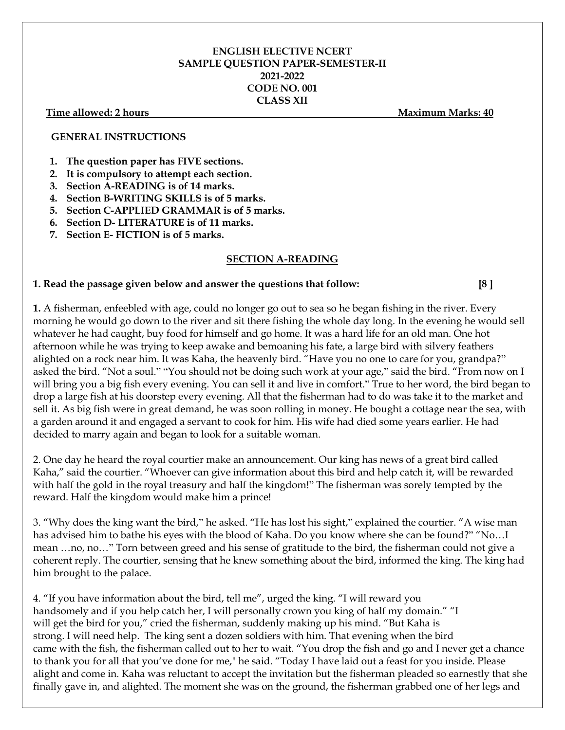## **ENGLISH ELECTIVE NCERT SAMPLE QUESTION PAPER-SEMESTER-II 2021-2022 CODE NO. 001 CLASS XII**

#### **Time allowed: 2 hours Maximum Marks: 40**

### **GENERAL INSTRUCTIONS**

- **1. The question paper has FIVE sections.**
- **2. It is compulsory to attempt each section.**
- **3. Section A-READING is of 14 marks.**
- **4. Section B-WRITING SKILLS is of 5 marks.**
- **5. Section C-APPLIED GRAMMAR is of 5 marks.**
- **6. Section D- LITERATURE is of 11 marks.**
- **7. Section E- FICTION is of 5 marks.**

### **SECTION A-READING**

### **1. Read the passage given below and answer the questions that follow: [8 ]**

**1.** A fisherman, enfeebled with age, could no longer go out to sea so he began fishing in the river. Every morning he would go down to the river and sit there fishing the whole day long. In the evening he would sell whatever he had caught, buy food for himself and go home. It was a hard life for an old man. One hot afternoon while he was trying to keep awake and bemoaning his fate, a large bird with silvery feathers alighted on a rock near him. It was Kaha, the heavenly bird. "Have you no one to care for you, grandpa?" asked the bird. "Not a soul." "You should not be doing such work at your age," said the bird. "From now on I will bring you a big fish every evening. You can sell it and live in comfort." True to her word, the bird began to drop a large fish at his doorstep every evening. All that the fisherman had to do was take it to the market and sell it. As big fish were in great demand, he was soon rolling in money. He bought a cottage near the sea, with a garden around it and engaged a servant to cook for him. His wife had died some years earlier. He had decided to marry again and began to look for a suitable woman.

2. One day he heard the royal courtier make an announcement. Our king has news of a great bird called Kaha," said the courtier. "Whoever can give information about this bird and help catch it, will be rewarded with half the gold in the royal treasury and half the kingdom!" The fisherman was sorely tempted by the reward. Half the kingdom would make him a prince!

3. "Why does the king want the bird," he asked. "He has lost his sight," explained the courtier. "A wise man has advised him to bathe his eyes with the blood of Kaha. Do you know where she can be found?" "No…I mean …no, no…" Torn between greed and his sense of gratitude to the bird, the fisherman could not give a coherent reply. The courtier, sensing that he knew something about the bird, informed the king. The king had him brought to the palace.

4. "If you have information about the bird, tell me", urged the king. "I will reward you handsomely and if you help catch her, I will personally crown you king of half my domain." "I will get the bird for you," cried the fisherman, suddenly making up his mind. "But Kaha is strong. I will need help. The king sent a dozen soldiers with him. That evening when the bird came with the fish, the fisherman called out to her to wait. "You drop the fish and go and I never get a chance to thank you for all that you've done for me," he said. "Today I have laid out a feast for you inside. Please alight and come in. Kaha was reluctant to accept the invitation but the fisherman pleaded so earnestly that she finally gave in, and alighted. The moment she was on the ground, the fisherman grabbed one of her legs and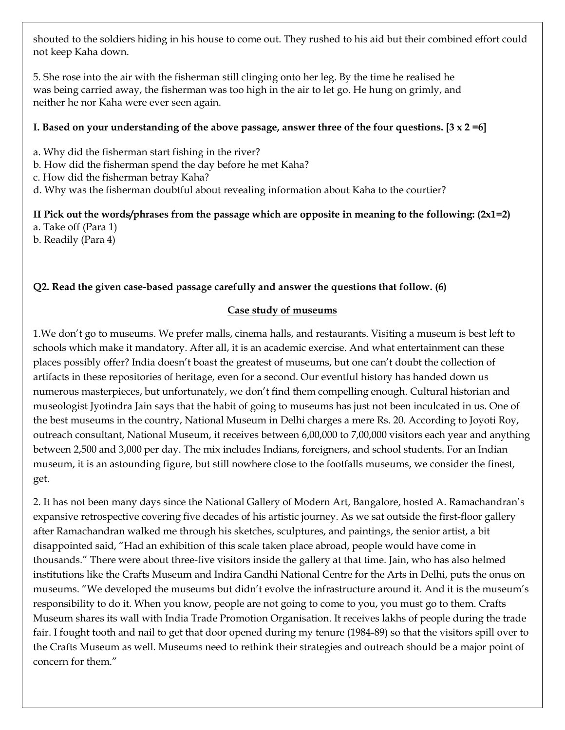shouted to the soldiers hiding in his house to come out. They rushed to his aid but their combined effort could not keep Kaha down.

5. She rose into the air with the fisherman still clinging onto her leg. By the time he realised he was being carried away, the fisherman was too high in the air to let go. He hung on grimly, and neither he nor Kaha were ever seen again.

# **I. Based on your understanding of the above passage, answer three of the four questions. [3 x 2 =6]**

- a. Why did the fisherman start fishing in the river?
- b. How did the fisherman spend the day before he met Kaha?
- c. How did the fisherman betray Kaha?
- d. Why was the fisherman doubtful about revealing information about Kaha to the courtier?

## **II Pick out the words/phrases from the passage which are opposite in meaning to the following: (2x1=2)** a. Take off (Para 1)

b. Readily (Para 4)

# **Q2. Read the given case-based passage carefully and answer the questions that follow. (6)**

# **Case study of museums**

1.We don't go to museums. We prefer malls, cinema halls, and restaurants. Visiting a museum is best left to schools which make it mandatory. After all, it is an academic exercise. And what entertainment can these places possibly offer? India doesn't boast the greatest of museums, but one can't doubt the collection of artifacts in these repositories of heritage, even for a second. Our eventful history has handed down us numerous masterpieces, but unfortunately, we don't find them compelling enough. Cultural historian and museologist Jyotindra Jain says that the habit of going to museums has just not been inculcated in us. One of the best museums in the country, National Museum in Delhi charges a mere Rs. 20. According to Joyoti Roy, outreach consultant, National Museum, it receives between 6,00,000 to 7,00,000 visitors each year and anything between 2,500 and 3,000 per day. The mix includes Indians, foreigners, and school students. For an Indian museum, it is an astounding figure, but still nowhere close to the footfalls museums, we consider the finest, get.

2. It has not been many days since the National Gallery of Modern Art, Bangalore, hosted A. Ramachandran's expansive retrospective covering five decades of his artistic journey. As we sat outside the first-floor gallery after Ramachandran walked me through his sketches, sculptures, and paintings, the senior artist, a bit disappointed said, "Had an exhibition of this scale taken place abroad, people would have come in thousands." There were about three-five visitors inside the gallery at that time. Jain, who has also helmed institutions like the Crafts Museum and Indira Gandhi National Centre for the Arts in Delhi, puts the onus on museums. "We developed the museums but didn't evolve the infrastructure around it. And it is the museum's responsibility to do it. When you know, people are not going to come to you, you must go to them. Crafts Museum shares its wall with India Trade Promotion Organisation. It receives lakhs of people during the trade fair. I fought tooth and nail to get that door opened during my tenure (1984-89) so that the visitors spill over to the Crafts Museum as well. Museums need to rethink their strategies and outreach should be a major point of concern for them."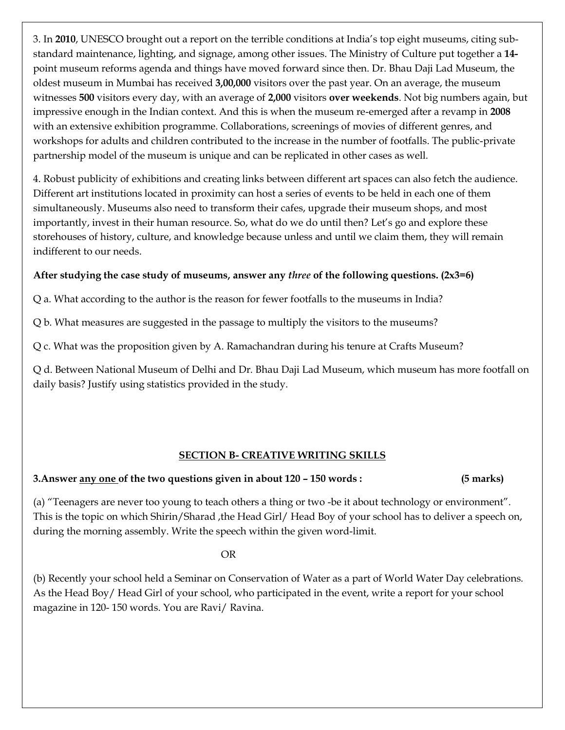3. In **2010**, UNESCO brought out a report on the terrible conditions at India's top eight museums, citing substandard maintenance, lighting, and signage, among other issues. The Ministry of Culture put together a **14** point museum reforms agenda and things have moved forward since then. Dr. Bhau Daji Lad Museum, the oldest museum in Mumbai has received **3,00,000** visitors over the past year. On an average, the museum witnesses **500** visitors every day, with an average of **2,000** visitors **over weekends**. Not big numbers again, but impressive enough in the Indian context. And this is when the museum re-emerged after a revamp in **2008** with an extensive exhibition programme. Collaborations, screenings of movies of different genres, and workshops for adults and children contributed to the increase in the number of footfalls. The public-private partnership model of the museum is unique and can be replicated in other cases as well.

4. Robust publicity of exhibitions and creating links between different art spaces can also fetch the audience. Different art institutions located in proximity can host a series of events to be held in each one of them simultaneously. Museums also need to transform their cafes, upgrade their museum shops, and most importantly, invest in their human resource. So, what do we do until then? Let's go and explore these storehouses of history, culture, and knowledge because unless and until we claim them, they will remain indifferent to our needs.

# **After studying the case study of museums, answer any** *three* **of the following questions. (2x3=6)**

Q a. What according to the author is the reason for fewer footfalls to the museums in India?

Q b. What measures are suggested in the passage to multiply the visitors to the museums?

Q c. What was the proposition given by A. Ramachandran during his tenure at Crafts Museum?

Q d. Between National Museum of Delhi and Dr. Bhau Daji Lad Museum, which museum has more footfall on daily basis? Justify using statistics provided in the study.

# **SECTION B- CREATIVE WRITING SKILLS**

# **3.Answer any one of the two questions given in about 120 – 150 words : (5 marks)**

(a) "Teenagers are never too young to teach others a thing or two -be it about technology or environment". This is the topic on which Shirin/Sharad ,the Head Girl/ Head Boy of your school has to deliver a speech on, during the morning assembly. Write the speech within the given word-limit.

# **OR** Service Service Service Service Service Service Service Service Service Service Service Service Service Service Service Service Service Service Service Service Service Service Service Service Service Service Service S

(b) Recently your school held a Seminar on Conservation of Water as a part of World Water Day celebrations. As the Head Boy/ Head Girl of your school, who participated in the event, write a report for your school magazine in 120- 150 words. You are Ravi/ Ravina.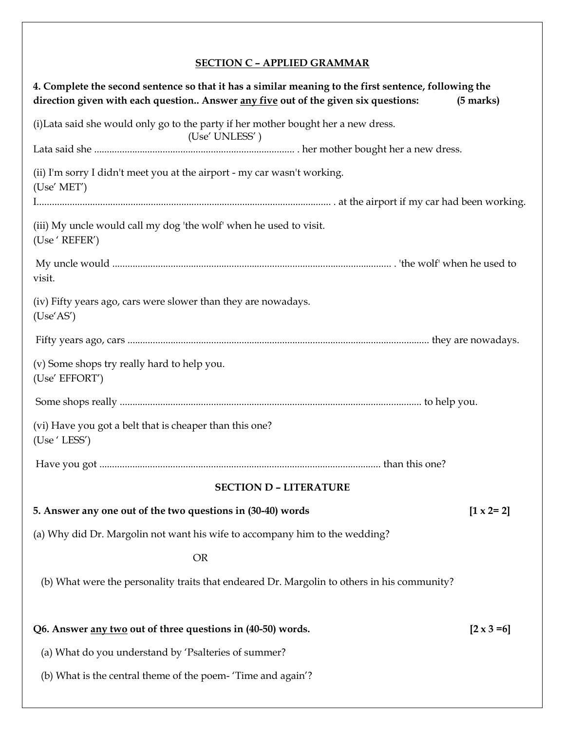# **SECTION C – APPLIED GRAMMAR**

| 4. Complete the second sentence so that it has a similar meaning to the first sentence, following the<br>direction given with each question Answer any five out of the given six questions: | $(5 \text{ marks})$ |
|---------------------------------------------------------------------------------------------------------------------------------------------------------------------------------------------|---------------------|
| (i) Lata said she would only go to the party if her mother bought her a new dress.<br>(Use' UNLESS')                                                                                        |                     |
|                                                                                                                                                                                             |                     |
| (ii) I'm sorry I didn't meet you at the airport - my car wasn't working.<br>(Use' MET')                                                                                                     |                     |
|                                                                                                                                                                                             |                     |
| (iii) My uncle would call my dog 'the wolf' when he used to visit.<br>(Use ' REFER')                                                                                                        |                     |
| visit.                                                                                                                                                                                      |                     |
| (iv) Fifty years ago, cars were slower than they are nowadays.<br>(Use'AS')                                                                                                                 |                     |
|                                                                                                                                                                                             |                     |
| (v) Some shops try really hard to help you.<br>(Use' EFFORT')                                                                                                                               |                     |
|                                                                                                                                                                                             |                     |
| (vi) Have you got a belt that is cheaper than this one?<br>(Use 'LESS')                                                                                                                     |                     |
|                                                                                                                                                                                             |                     |
| <b>SECTION D - LITERATURE</b>                                                                                                                                                               |                     |
| 5. Answer any one out of the two questions in (30-40) words                                                                                                                                 | $[1 \times 2 = 2]$  |
| (a) Why did Dr. Margolin not want his wife to accompany him to the wedding?                                                                                                                 |                     |
| <b>OR</b>                                                                                                                                                                                   |                     |
| (b) What were the personality traits that endeared Dr. Margolin to others in his community?                                                                                                 |                     |
| Q6. Answer any two out of three questions in (40-50) words.                                                                                                                                 | $[2 \times 3 = 6]$  |
| (a) What do you understand by 'Psalteries of summer?                                                                                                                                        |                     |
| (b) What is the central theme of the poem- 'Time and again'?                                                                                                                                |                     |